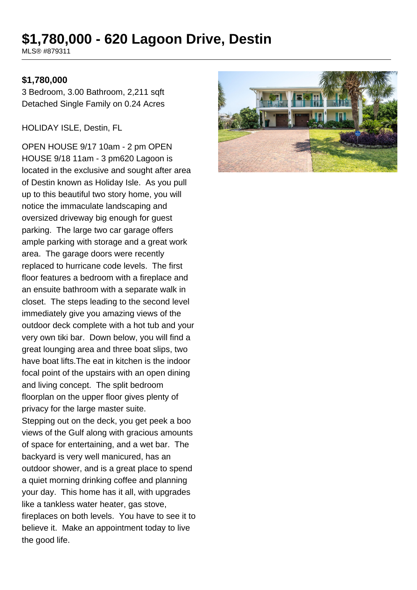# **\$1,780,000 - 620 Lagoon Drive, Destin**

MLS® #879311

#### **\$1,780,000**

3 Bedroom, 3.00 Bathroom, 2,211 sqft Detached Single Family on 0.24 Acres

HOLIDAY ISLE, Destin, FL

OPEN HOUSE 9/17 10am - 2 pm OPEN HOUSE 9/18 11am - 3 pm620 Lagoon is located in the exclusive and sought after area of Destin known as Holiday Isle. As you pull up to this beautiful two story home, you will notice the immaculate landscaping and oversized driveway big enough for guest parking. The large two car garage offers ample parking with storage and a great work area. The garage doors were recently replaced to hurricane code levels. The first floor features a bedroom with a fireplace and an ensuite bathroom with a separate walk in closet. The steps leading to the second level immediately give you amazing views of the outdoor deck complete with a hot tub and your very own tiki bar. Down below, you will find a great lounging area and three boat slips, two have boat lifts.The eat in kitchen is the indoor focal point of the upstairs with an open dining and living concept. The split bedroom floorplan on the upper floor gives plenty of privacy for the large master suite. Stepping out on the deck, you get peek a boo views of the Gulf along with gracious amounts of space for entertaining, and a wet bar. The backyard is very well manicured, has an outdoor shower, and is a great place to spend a quiet morning drinking coffee and planning your day. This home has it all, with upgrades like a tankless water heater, gas stove, fireplaces on both levels. You have to see it to believe it. Make an appointment today to live the good life.

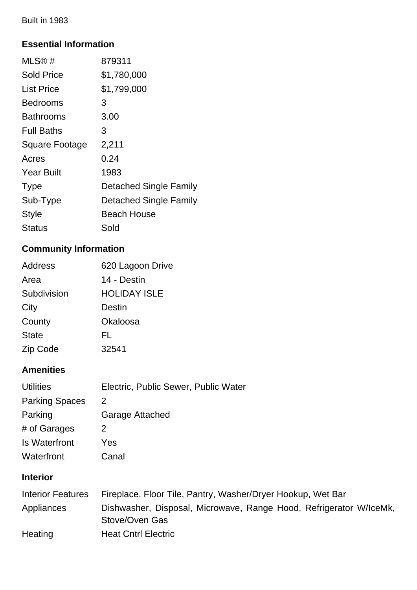Built in 1983

### **Essential Information**

| MLS@#                 | 879311                        |
|-----------------------|-------------------------------|
| <b>Sold Price</b>     | \$1,780,000                   |
| <b>List Price</b>     | \$1,799,000                   |
| <b>Bedrooms</b>       | 3                             |
| <b>Bathrooms</b>      | 3.00                          |
| <b>Full Baths</b>     | 3                             |
| <b>Square Footage</b> | 2,211                         |
| Acres                 | 0.24                          |
| <b>Year Built</b>     | 1983                          |
| <b>Type</b>           | <b>Detached Single Family</b> |
| Sub-Type              | Detached Single Family        |
| Style                 | Beach House                   |
| Status                | Sold                          |

# **Community Information**

| Address      | 620 Lagoon Drive    |
|--------------|---------------------|
| Area         | 14 - Destin         |
| Subdivision  | <b>HOLIDAY ISLE</b> |
| City         | Destin              |
| County       | Okaloosa            |
| <b>State</b> | FL                  |
| Zip Code     | 32541               |

### **Amenities**

| <b>Utilities</b>      | Electric, Public Sewer, Public Water |
|-----------------------|--------------------------------------|
| <b>Parking Spaces</b> | 2                                    |
| Parking               | Garage Attached                      |
| # of Garages          | 2                                    |
| Is Waterfront         | Yes                                  |
| Waterfront            | Canal                                |

# **Interior**

| Interior Features | Fireplace, Floor Tile, Pantry, Washer/Dryer Hookup, Wet Bar                          |
|-------------------|--------------------------------------------------------------------------------------|
| Appliances        | Dishwasher, Disposal, Microwave, Range Hood, Refrigerator W/IceMk,<br>Stove/Oven Gas |
| Heating           | <b>Heat Cntrl Electric</b>                                                           |